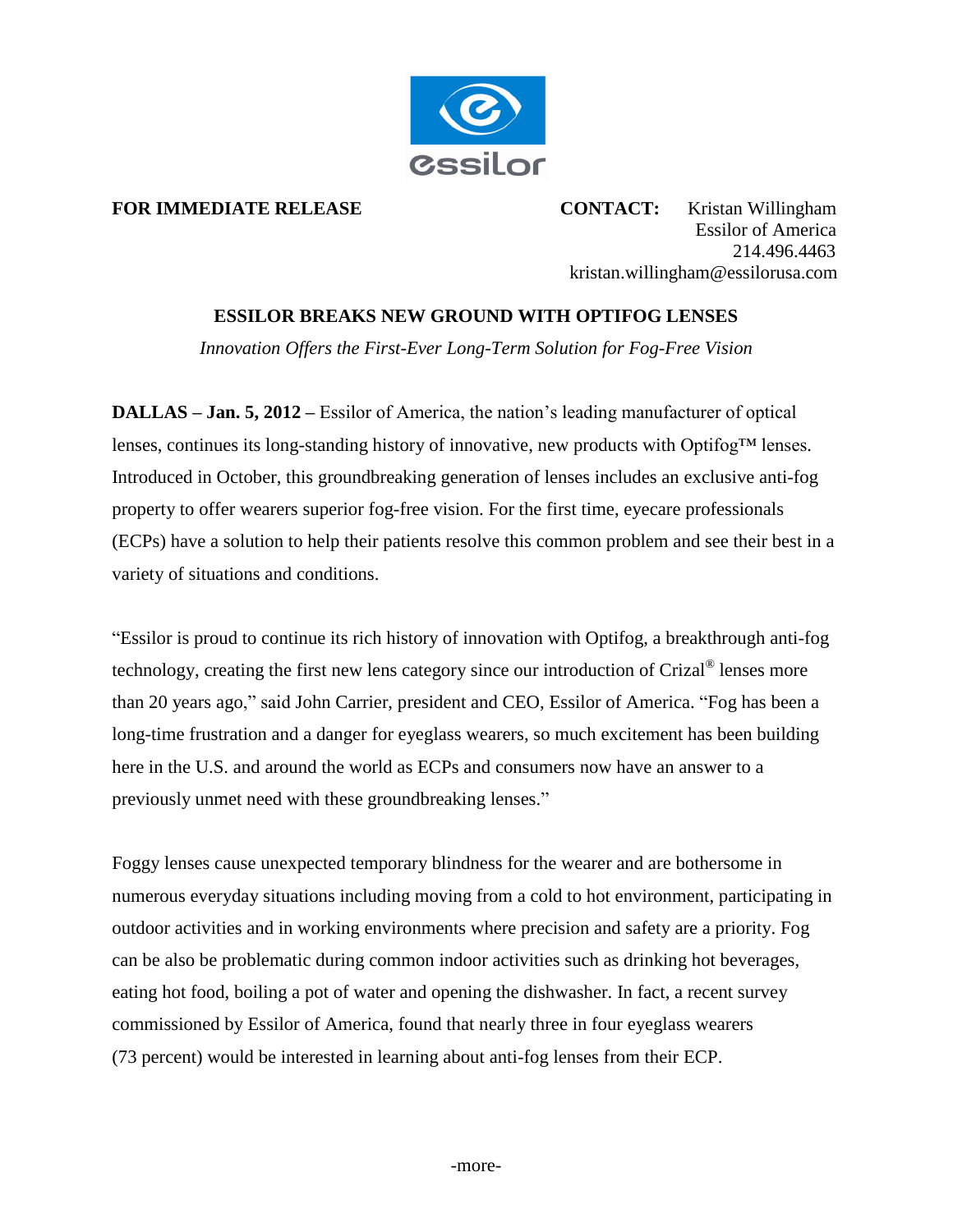

**FOR IMMEDIATE RELEASE CONTACT:** Kristan Willingham Essilor of America 214.496.4463 kristan.willingham@essilorusa.com

## **ESSILOR BREAKS NEW GROUND WITH OPTIFOG LENSES**

*Innovation Offers the First-Ever Long-Term Solution for Fog-Free Vision*

**DALLAS – Jan. 5, 2012 –** Essilor of America, the nation's leading manufacturer of optical lenses, continues its long-standing history of innovative, new products with Optifog™ lenses. Introduced in October, this groundbreaking generation of lenses includes an exclusive anti-fog property to offer wearers superior fog-free vision. For the first time, eyecare professionals (ECPs) have a solution to help their patients resolve this common problem and see their best in a variety of situations and conditions.

"Essilor is proud to continue its rich history of innovation with Optifog, a breakthrough anti-fog technology, creating the first new lens category since our introduction of Crizal® lenses more than 20 years ago," said John Carrier, president and CEO, Essilor of America. "Fog has been a long-time frustration and a danger for eyeglass wearers, so much excitement has been building here in the U.S. and around the world as ECPs and consumers now have an answer to a previously unmet need with these groundbreaking lenses."

Foggy lenses cause unexpected temporary blindness for the wearer and are bothersome in numerous everyday situations including moving from a cold to hot environment, participating in outdoor activities and in working environments where precision and safety are a priority. Fog can be also be problematic during common indoor activities such as drinking hot beverages, eating hot food, boiling a pot of water and opening the dishwasher. In fact, a recent survey commissioned by Essilor of America, found that nearly three in four eyeglass wearers (73 percent) would be interested in learning about anti-fog lenses from their ECP.